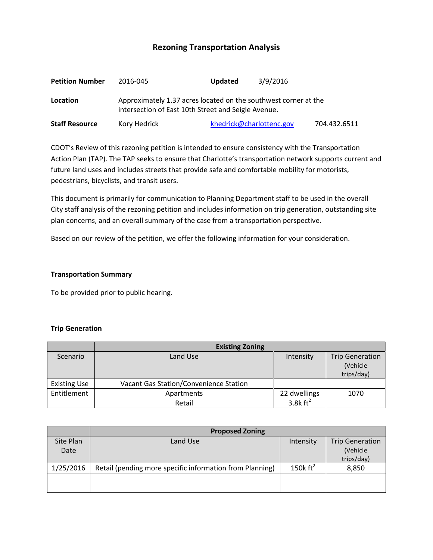# **Rezoning Transportation Analysis**

| <b>Petition Number</b> | 2016-045                                                                                                               | 3/9/2016<br><b>Updated</b> |              |  |  |
|------------------------|------------------------------------------------------------------------------------------------------------------------|----------------------------|--------------|--|--|
| Location               | Approximately 1.37 acres located on the southwest corner at the<br>intersection of East 10th Street and Seigle Avenue. |                            |              |  |  |
| <b>Staff Resource</b>  | Kory Hedrick                                                                                                           | khedrick@charlottenc.gov   | 704.432.6511 |  |  |

CDOT's Review of this rezoning petition is intended to ensure consistency with the Transportation Action Plan (TAP). The TAP seeks to ensure that Charlotte's transportation network supports current and future land uses and includes streets that provide safe and comfortable mobility for motorists, pedestrians, bicyclists, and transit users.

This document is primarily for communication to Planning Department staff to be used in the overall City staff analysis of the rezoning petition and includes information on trip generation, outstanding site plan concerns, and an overall summary of the case from a transportation perspective.

Based on our review of the petition, we offer the following information for your consideration.

#### **Transportation Summary**

To be provided prior to public hearing.

# **Trip Generation**

|                     | <b>Existing Zoning</b>                        |                                      |                                                  |  |
|---------------------|-----------------------------------------------|--------------------------------------|--------------------------------------------------|--|
| Scenario            | Land Use                                      | Intensity                            | <b>Trip Generation</b><br>(Vehicle<br>trips/day) |  |
| <b>Existing Use</b> | <b>Vacant Gas Station/Convenience Station</b> |                                      |                                                  |  |
| Entitlement         | Apartments<br>Retail                          | 22 dwellings<br>3.8 $k \text{ ft}^2$ | 1070                                             |  |

|           | <b>Proposed Zoning</b>                                   |                      |                        |  |  |
|-----------|----------------------------------------------------------|----------------------|------------------------|--|--|
| Site Plan | Land Use                                                 | Intensity            | <b>Trip Generation</b> |  |  |
| Date      |                                                          |                      | (Vehicle               |  |  |
|           |                                                          |                      | trips/day)             |  |  |
| 1/25/2016 | Retail (pending more specific information from Planning) | 150 $k \text{ ft}^2$ | 8,850                  |  |  |
|           |                                                          |                      |                        |  |  |
|           |                                                          |                      |                        |  |  |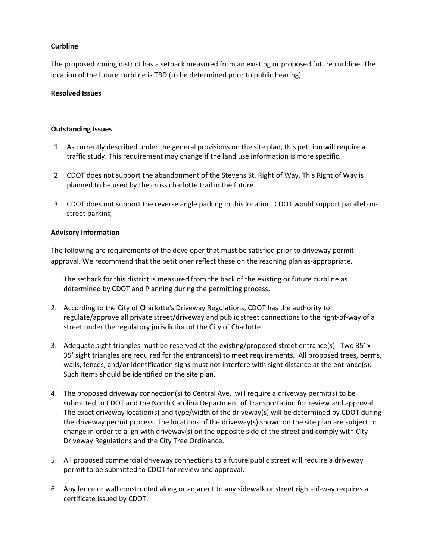# **Curbline**

The proposed zoning district has a setback measured from an existing or proposed future curbline. The location of the future curbline is TBD (to be determined prior to public hearing).

## **Resolved Issues**

## **Outstanding Issues**

- 1. As currently described under the general provisions on the site plan, this petition will require a traffic study. This requirement may change if the land use information is more specific.
- 2. CDOT does not support the abandonment of the Stevens St. Right of Way. This Right of Way is planned to be used by the cross charlotte trail in the future.
- 3. CDOT does not support the reverse angle parking in this location. CDOT would support parallel onstreet parking.

#### **Advisory Information**

The following are requirements of the developer that must be satisfied prior to driveway permit approval. We recommend that the petitioner reflect these on the rezoning plan as-appropriate.

- 1. The setback for this district is measured from the back of the existing or future curbline as determined by CDOT and Planning during the permitting process.
- 2. According to the City of Charlotte's Driveway Regulations, CDOT has the authority to regulate/approve all private street/driveway and public street connections to the right-of-way of a street under the regulatory jurisdiction of the City of Charlotte.
- 3. Adequate sight triangles must be reserved at the existing/proposed street entrance(s). Two 35' x 35' sight triangles are required for the entrance(s) to meet requirements. All proposed trees, berms, walls, fences, and/or identification signs must not interfere with sight distance at the entrance(s). Such items should be identified on the site plan.
- 4. The proposed driveway connection(s) to Central Ave. will require a driveway permit(s) to be submitted to CDOT and the North Carolina Department of Transportation for review and approval. The exact driveway location(s) and type/width of the driveway(s) will be determined by CDOT during the driveway permit process. The locations of the driveway(s) shown on the site plan are subject to change in order to align with driveway(s) on the opposite side of the street and comply with City Driveway Regulations and the City Tree Ordinance.
- 5. All proposed commercial driveway connections to a future public street will require a driveway permit to be submitted to CDOT for review and approval.
- 6. Any fence or wall constructed along or adjacent to any sidewalk or street right-of-way requires a certificate issued by CDOT.